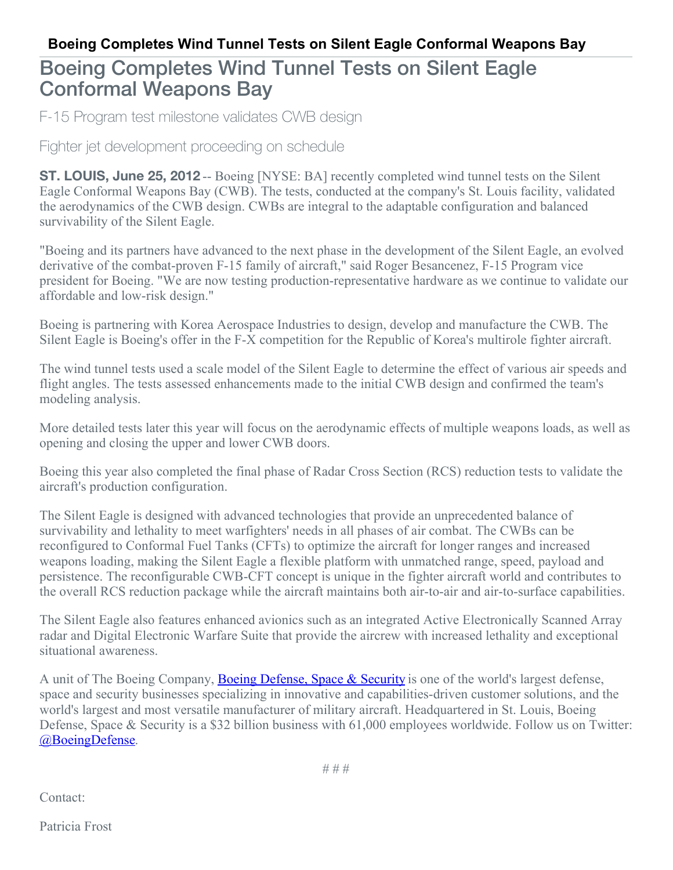## Boeing Completes Wind Tunnel Tests on Silent Eagle Conformal Weapons Bay

F-15 Program test milestone validates CWB design

Fighter jet development proceeding on schedule

**ST. LOUIS, June 25, 2012** -- Boeing [NYSE: BA] recently completed wind tunnel tests on the Silent Eagle Conformal Weapons Bay (CWB). The tests, conducted at the company's St. Louis facility, validated the aerodynamics of the CWB design. CWBs are integral to the adaptable configuration and balanced survivability of the Silent Eagle.

"Boeing and its partners have advanced to the next phase in the development of the Silent Eagle, an evolved derivative of the combat-proven F-15 family of aircraft," said Roger Besancenez, F-15 Program vice president for Boeing. "We are now testing production-representative hardware as we continue to validate our affordable and low-risk design."

Boeing is partnering with Korea Aerospace Industries to design, develop and manufacture the CWB. The Silent Eagle is Boeing's offer in the F-X competition for the Republic of Korea's multirole fighter aircraft.

The wind tunnel tests used a scale model of the Silent Eagle to determine the effect of various air speeds and flight angles. The tests assessed enhancements made to the initial CWB design and confirmed the team's modeling analysis.

More detailed tests later this year will focus on the aerodynamic effects of multiple weapons loads, as well as opening and closing the upper and lower CWB doors.

Boeing this year also completed the final phase of Radar Cross Section (RCS) reduction tests to validate the aircraft's production configuration.

The Silent Eagle is designed with advanced technologies that provide an unprecedented balance of survivability and lethality to meet warfighters' needs in all phases of air combat. The CWBs can be reconfigured to Conformal Fuel Tanks (CFTs) to optimize the aircraft for longer ranges and increased weapons loading, making the Silent Eagle a flexible platform with unmatched range, speed, payload and persistence. The reconfigurable CWB-CFT concept is unique in the fighter aircraft world and contributes to the overall RCS reduction package while the aircraft maintains both air-to-air and air-to-surface capabilities.

The Silent Eagle also features enhanced avionics such as an integrated Active Electronically Scanned Array radar and Digital Electronic Warfare Suite that provide the aircrew with increased lethality and exceptional situational awareness.

A unit of The Boeing Company, Boeing [Defense,](http://www.boeing.com/bds) Space & Security is one of the world's largest defense, space and security businesses specializing in innovative and capabilities-driven customer solutions, and the world's largest and most versatile manufacturer of military aircraft. Headquartered in St. Louis, Boeing Defense, Space & Security is a \$32 billion business with 61,000 employees worldwide. Follow us on Twitter: [@BoeingDefense](http://twitter.com/boeingdefense).

Contact:

Patricia Frost